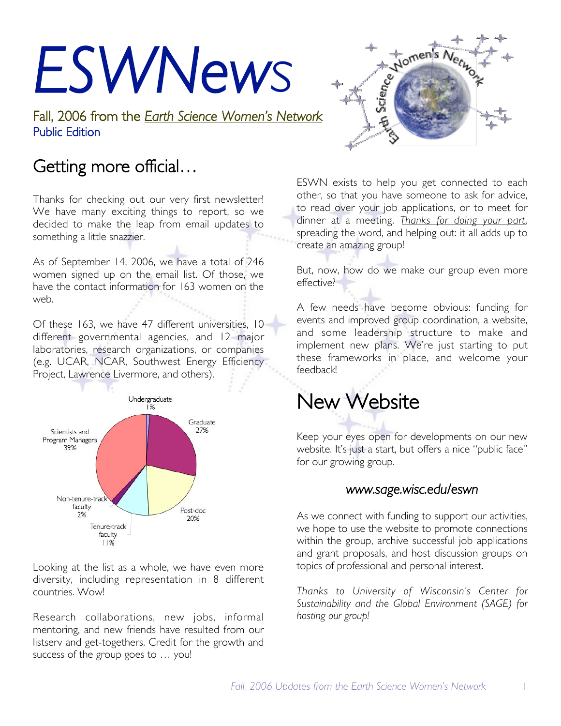# *ESWNews*

Fall, 2006 from the *Earth Science Women's Network* Public Edition

## Getting more official…

Thanks for checking out our very first newsletter! We have many exciting things to report, so we decided to make the leap from email updates to something a little snazzier.

As of September 14, 2006, we have a total of 246 women signed up on the email list. Of those, we have the contact information for 163 women on the web.

Of these 163, we have 47 different universities, 10 different governmental agencies, and 12 major laboratories, research organizations, or companies (e.g. UCAR, NCAR, Southwest Energy Efficiency Project, Lawrence Livermore, and others).



Looking at the list as a whole, we have even more diversity, including representation in 8 different countries. Wow!

Research collaborations, new jobs, informal mentoring, and new friends have resulted from our listserv and get-togethers. Credit for the growth and success of the group goes to … you!



ESWN exists to help you get connected to each other, so that you have someone to ask for advice, to read over your job applications, or to meet for dinner at a meeting. *Thanks for doing your part*, spreading the word, and helping out: it all adds up to create an amazing group!

But, now, how do we make our group even more effective?

A few needs have become obvious: funding for events and improved group coordination, a website, and some leadership structure to make and implement new plans. We're just starting to put these frameworks in place, and welcome your feedback!

# New Website

Keep your eyes open for developments on our new website. It's just a start, but offers a nice "public face" for our growing group.

#### *www.sage.wisc.edu/eswn*

As we connect with funding to support our activities, we hope to use the website to promote connections within the group, archive successful job applications and grant proposals, and host discussion groups on topics of professional and personal interest.

*Thanks to University of Wisconsin's Center for Sustainability and the Global Environment (SAGE) for hosting our group!*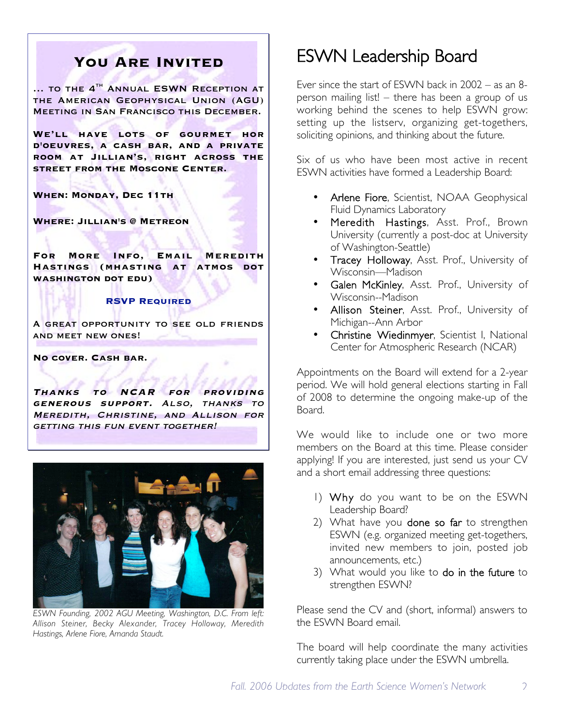#### **You Are Invited**

... TO THE 4<sup>TH</sup> ANNUAL ESWN RECEPTION AT the American Geophysical Union (AGU) Meeting in San Francisco this December.

**We'll have lots of gourmet hor d'oeuvres, a cash bar, and a private room at Jillian's, right across the street from the Moscone Center.**

**When: Monday, Dec 11th** 

**Where: Jillian's @ Metreon**

**For More Info, Email Meredith Hastings (mhasting at atmos dot washington dot edu)**

#### **RSVP Required**

A great opportunity to see old friends and meet new ones!

**No cover. Cash bar.**

**Thanks to NCAR for providing generous support.** Also, thanks to Meredith, Christine, and Allison for getting this fun event together!



*ESWN Founding, 2002 AGU Meeting, Washington, D.C. From left: Allison Steiner, Becky Alexander, Tracey Holloway, Meredith Hastings, Arlene Fiore, Amanda Staudt.*

## ESWN Leadership Board

Ever since the start of ESWN back in 2002 – as an 8 person mailing list! – there has been a group of us working behind the scenes to help ESWN grow: setting up the listserv, organizing get-togethers, soliciting opinions, and thinking about the future.

Six of us who have been most active in recent ESWN activities have formed a Leadership Board:

- Arlene Fiore, Scientist, NOAA Geophysical Fluid Dynamics Laboratory
- Meredith Hastings, Asst. Prof., Brown University (currently a post-doc at University of Washington-Seattle)
- Tracey Holloway, Asst. Prof., University of Wisconsin—Madison
- Galen McKinley, Asst. Prof., University of Wisconsin--Madison
- Allison Steiner, Asst. Prof., University of Michigan--Ann Arbor
- Christine Wiedinmyer, Scientist I, National Center for Atmospheric Research (NCAR)

Appointments on the Board will extend for a 2-year period. We will hold general elections starting in Fall of 2008 to determine the ongoing make-up of the Board.

We would like to include one or two more members on the Board at this time. Please consider applying! If you are interested, just send us your CV and a short email addressing three questions:

- 1) Why do you want to be on the ESWN Leadership Board?
- 2) What have you done so far to strengthen ESWN (e.g. organized meeting get-togethers, invited new members to join, posted job announcements, etc.)
- 3) What would you like to do in the future to strengthen ESWN?

Please send the CV and (short, informal) answers to the ESWN Board email.

The board will help coordinate the many activities currently taking place under the ESWN umbrella.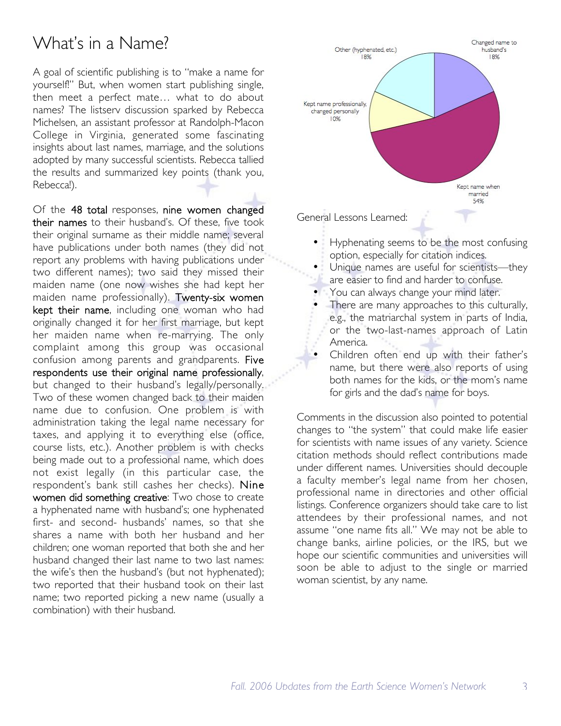### What's in a Name?

A goal of scientific publishing is to "make a name for yourself!" But, when women start publishing single, then meet a perfect mate… what to do about names? The listserv discussion sparked by Rebecca Michelsen, an assistant professor at Randolph-Macon College in Virginia, generated some fascinating insights about last names, marriage, and the solutions adopted by many successful scientists. Rebecca tallied the results and summarized key points (thank you, Rebecca!).

Of the 48 total responses, nine women changed their names to their husband's. Of these, five took their original surname as their middle name; several have publications under both names (they did not report any problems with having publications under two different names); two said they missed their maiden name (one now wishes she had kept her maiden name professionally). Twenty-six women kept their name, including one woman who had originally changed it for her first marriage, but kept her maiden name when re-marrying. The only complaint among this group was occasional confusion among parents and grandparents. Five respondents use their original name professionally, but changed to their husband's legally/personally. Two of these women changed back to their maiden name due to confusion. One problem is with administration taking the legal name necessary for taxes, and applying it to everything else (office, course lists, etc.). Another problem is with checks being made out to a professional name, which does not exist legally (in this particular case, the respondent's bank still cashes her checks). Nine women did something creative: Two chose to create a hyphenated name with husband's; one hyphenated first- and second- husbands' names, so that she shares a name with both her husband and her children; one woman reported that both she and her husband changed their last name to two last names: the wife's then the husband's (but not hyphenated); two reported that their husband took on their last name; two reported picking a new name (usually a combination) with their husband.



General Lessons Learned:

- Hyphenating seems to be the most confusing option, especially for citation indices.
- Unique names are useful for scientists-they are easier to find and harder to confuse.
- You can always change your mind later.
- There are many approaches to this culturally, e.g., the matriarchal system in parts of India, or the two-last-names approach of Latin America.
- Children often end up with their father's name, but there were also reports of using both names for the kids, or the mom's name for girls and the dad's name for boys.

Comments in the discussion also pointed to potential changes to "the system" that could make life easier for scientists with name issues of any variety. Science citation methods should reflect contributions made under different names. Universities should decouple a faculty member's legal name from her chosen, professional name in directories and other official listings. Conference organizers should take care to list attendees by their professional names, and not assume "one name fits all." We may not be able to change banks, airline policies, or the IRS, but we hope our scientific communities and universities will soon be able to adjust to the single or married woman scientist, by any name.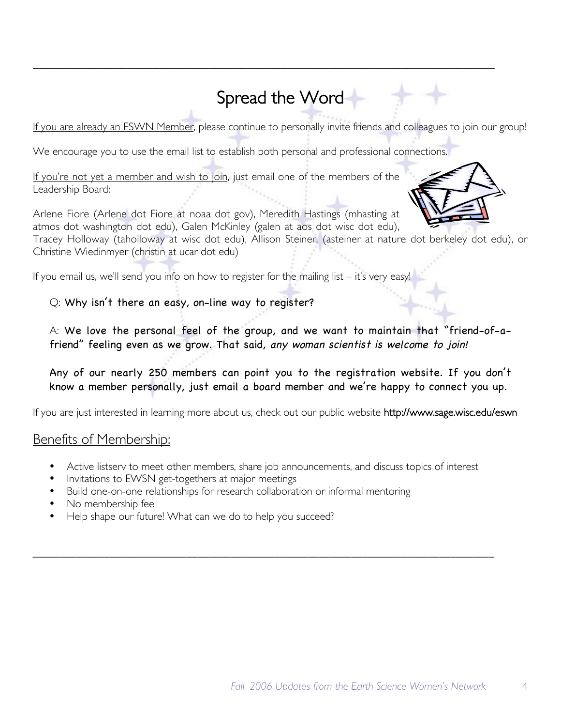## Spread the Word

*\_\_\_\_\_\_\_\_\_\_\_\_\_\_\_\_\_\_\_\_\_\_\_\_\_\_\_\_\_\_\_\_\_\_\_\_\_\_\_\_\_\_\_\_\_\_\_\_\_\_\_\_\_\_\_\_\_\_\_\_\_\_\_\_\_\_\_\_\_\_\_\_\_\_\_\_\_\_\_\_\_\_\_\_*

If you are already an ESWN Member, please continue to personally invite friends and colleagues to join our group!

We encourage you to use the email list to establish both personal and professional connections.

If you're not yet a member and wish to join, just email one of the members of the Leadership Board:

Arlene Fiore (Arlene dot Fiore at noaa dot gov), Meredith Hastings (mhasting at atmos dot washington dot edu), Galen McKinley (galen at aos dot wisc dot edu), Tracey Holloway (taholloway at wisc dot edu), Allison Steiner, (asteiner at nature dot berkeley dot edu), or Christine Wiedinmyer (christin at ucar dot edu)

If you email us, we'll send you info on how to register for the mailing list  $-$  it's very easy

Q: Why isn't there an easy, on-line way to register?

A: We love the personal feel of the group, and we want to maintain that "friend-of-afriend" feeling even as we grow. That said, any woman scientist is welcome to join!

Any of our nearly 250 members can point you to the registration website. If you don't know a member personally, just email a board member and we're happy to connect you up.

If you are just interested in learning more about us, check out our public website http://www.sage.wisc.edu/eswn

#### Benefits of Membership:

- Active listserv to meet other members, share job announcements, and discuss topics of interest
- Invitations to EWSN get-togethers at major meetings
- Build one-on-one relationships for research collaboration or informal mentoring
- No membership fee
- Help shape our future! What can we do to help you succeed?